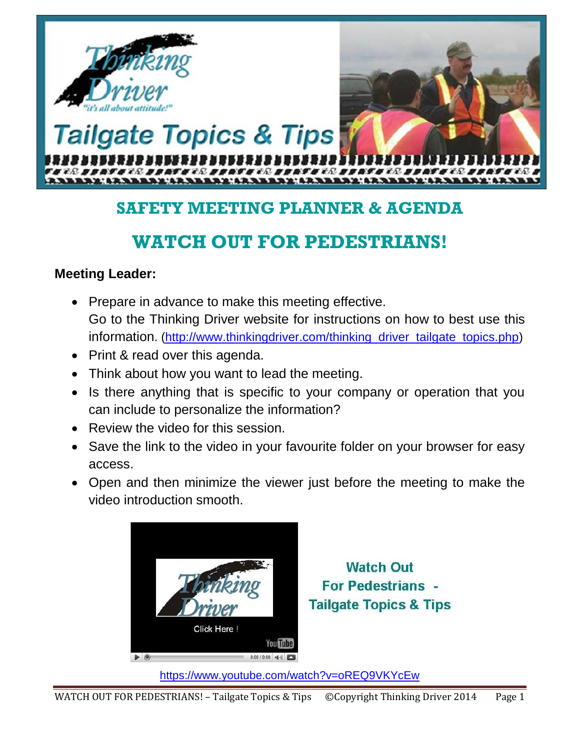

# **SAFETY MEETING PLANNER & AGENDA**

# **WATCH OUT FOR PEDESTRIANS!**

#### **Meeting Leader:**

- Prepare in advance to make this meeting effective. Go to the Thinking Driver website for instructions on how to best use this information. [\(http://www.thinkingdriver.com/thinking\\_driver\\_tailgate\\_topics.php\)](http://www.thinkingdriver.com/thinking_driver_tailgate_topics.php)
- Print & read over this agenda.
- Think about how you want to lead the meeting.
- Is there anything that is specific to your company or operation that you can include to personalize the information?
- Review the video for this session.
- Save the link to the video in your favourite folder on your browser for easy access.
- Open and then minimize the viewer just before the meeting to make the video introduction smooth.



**Watch Out For Pedestrians -Tailgate Topics & Tips** 

https://www.youtube.com/watch?v=oREQ9VKYcEw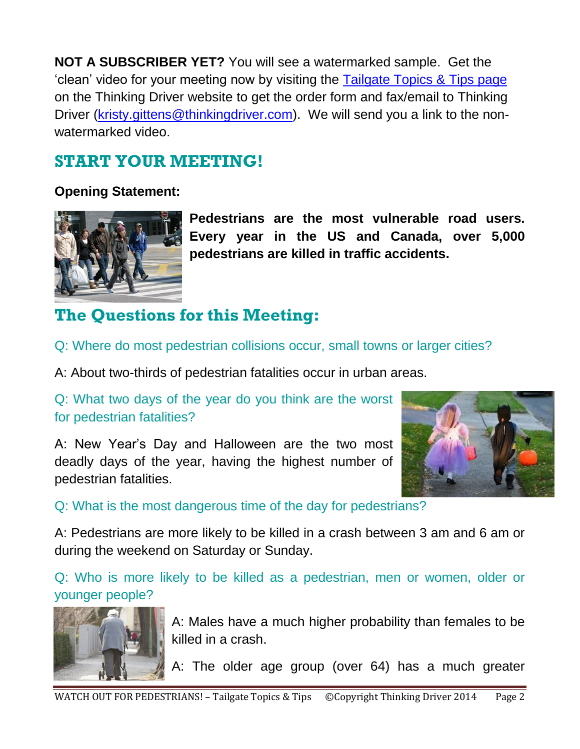**NOT A SUBSCRIBER YET?** You will see a watermarked sample. Get the 'clean' video for your meeting now by visiting the [Tailgate Topics & Tips page](http://www.thinkingdriver.com/thinking_driver_tailgate_topics.php) on the Thinking Driver website to get the order form and fax/email to Thinking Driver [\(kristy.gittens@thinkingdriver.com\)](mailto:kristy.gittens@thinkingdriver.com). We will send you a link to the nonwatermarked video.

# **START YOUR MEETING!**

### **Opening Statement:**



**Pedestrians are the most vulnerable road users. Every year in the US and Canada, over 5,000 pedestrians are killed in traffic accidents.**

# **The Questions for this Meeting:**

Q: Where do most pedestrian collisions occur, small towns or larger cities?

A: About two-thirds of pedestrian fatalities occur in urban areas.

Q: What two days of the year do you think are the worst for pedestrian fatalities?

A: New Year's Day and Halloween are the two most deadly days of the year, having the highest number of pedestrian fatalities.



Q: What is the most dangerous time of the day for pedestrians?

A: Pedestrians are more likely to be killed in a crash between 3 am and 6 am or during the weekend on Saturday or Sunday.

Q: Who is more likely to be killed as a pedestrian, men or women, older or younger people?



A: Males have a much higher probability than females to be killed in a crash.

A: The older age group (over 64) has a much greater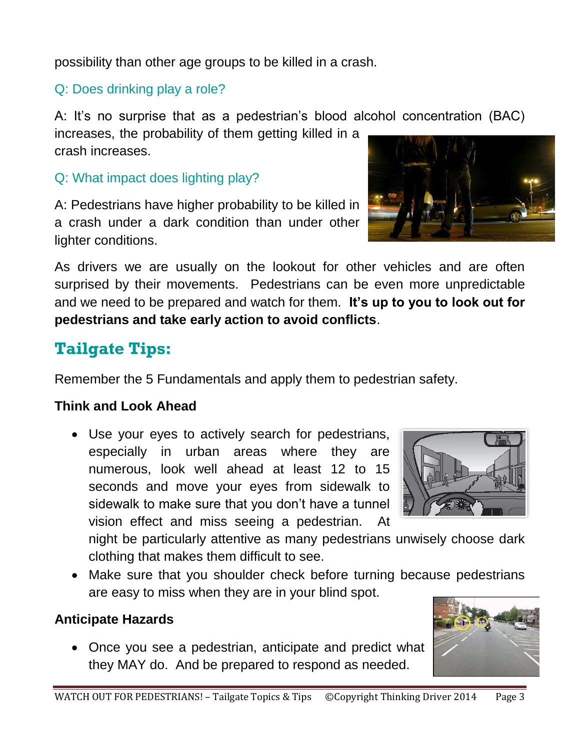possibility than other age groups to be killed in a crash.

Q: Does drinking play a role?

A: It's no surprise that as a pedestrian's blood alcohol concentration (BAC)

increases, the probability of them getting killed in a crash increases.

Q: What impact does lighting play?

A: Pedestrians have higher probability to be killed in a crash under a dark condition than under other lighter conditions.

As drivers we are usually on the lookout for other vehicles and are often surprised by their movements. Pedestrians can be even more unpredictable and we need to be prepared and watch for them. **It's up to you to look out for pedestrians and take early action to avoid conflicts**.

# **Tailgate Tips:**

Remember the 5 Fundamentals and apply them to pedestrian safety.

### **Think and Look Ahead**

 Use your eyes to actively search for pedestrians, especially in urban areas where they are numerous, look well ahead at least 12 to 15 seconds and move your eyes from sidewalk to sidewalk to make sure that you don't have a tunnel vision effect and miss seeing a pedestrian. At

night be particularly attentive as many pedestrians unwisely choose dark clothing that makes them difficult to see.

• Make sure that you shoulder check before turning because pedestrians are easy to miss when they are in your blind spot.

## **Anticipate Hazards**

 Once you see a pedestrian, anticipate and predict what they MAY do. And be prepared to respond as needed.







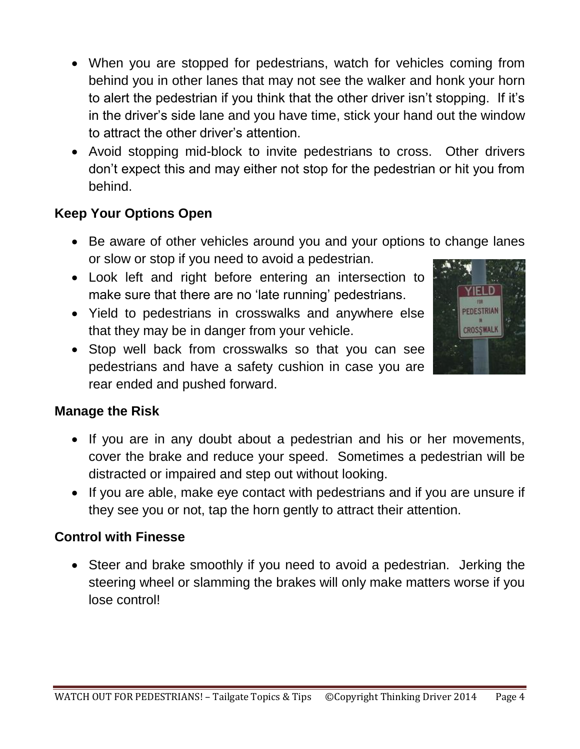- When you are stopped for pedestrians, watch for vehicles coming from behind you in other lanes that may not see the walker and honk your horn to alert the pedestrian if you think that the other driver isn't stopping. If it's in the driver's side lane and you have time, stick your hand out the window to attract the other driver's attention.
- Avoid stopping mid-block to invite pedestrians to cross. Other drivers don't expect this and may either not stop for the pedestrian or hit you from behind.

## **Keep Your Options Open**

- Be aware of other vehicles around you and your options to change lanes or slow or stop if you need to avoid a pedestrian.
- Look left and right before entering an intersection to make sure that there are no 'late running' pedestrians.
- Yield to pedestrians in crosswalks and anywhere else that they may be in danger from your vehicle.
- Stop well back from crosswalks so that you can see pedestrians and have a safety cushion in case you are rear ended and pushed forward.



#### **Manage the Risk**

- If you are in any doubt about a pedestrian and his or her movements, cover the brake and reduce your speed. Sometimes a pedestrian will be distracted or impaired and step out without looking.
- If you are able, make eye contact with pedestrians and if you are unsure if they see you or not, tap the horn gently to attract their attention.

#### **Control with Finesse**

• Steer and brake smoothly if you need to avoid a pedestrian. Jerking the steering wheel or slamming the brakes will only make matters worse if you lose control!